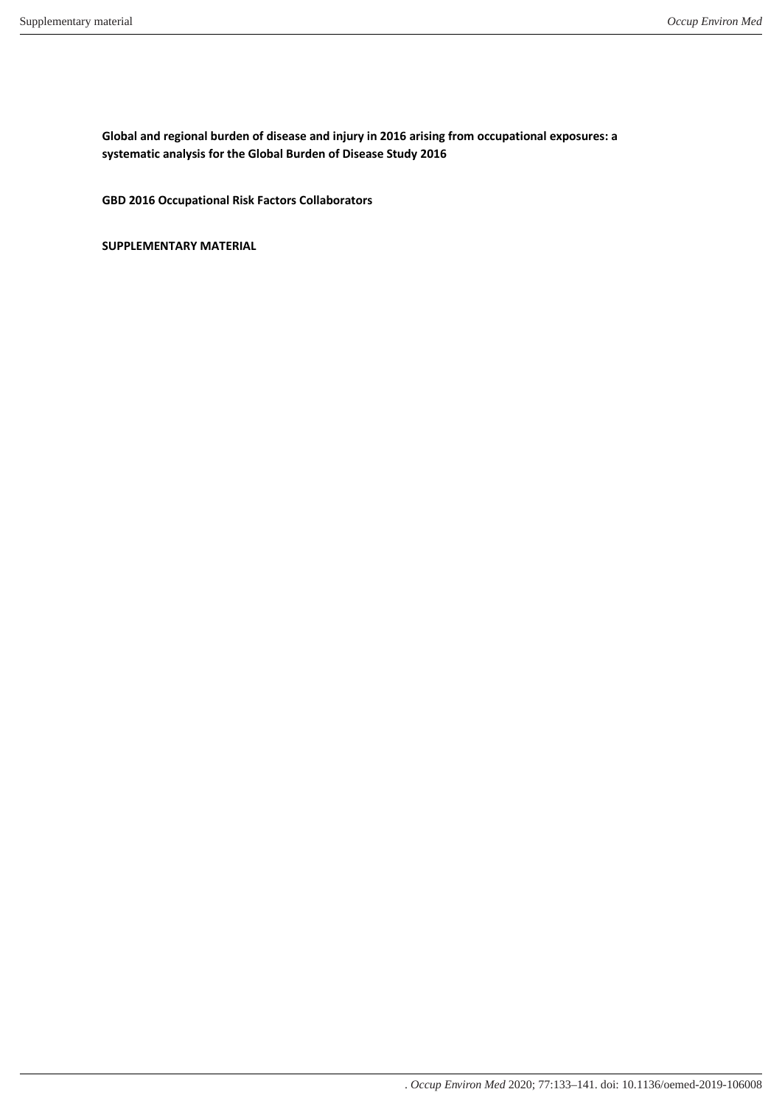**Global and regional burden of disease and injury in 2016 arising from occupational exposures: a systematic analysis for the Global Burden of Disease Study 2016**

**GBD 2016 Occupational Risk Factors Collaborators**

**SUPPLEMENTARY MATERIAL**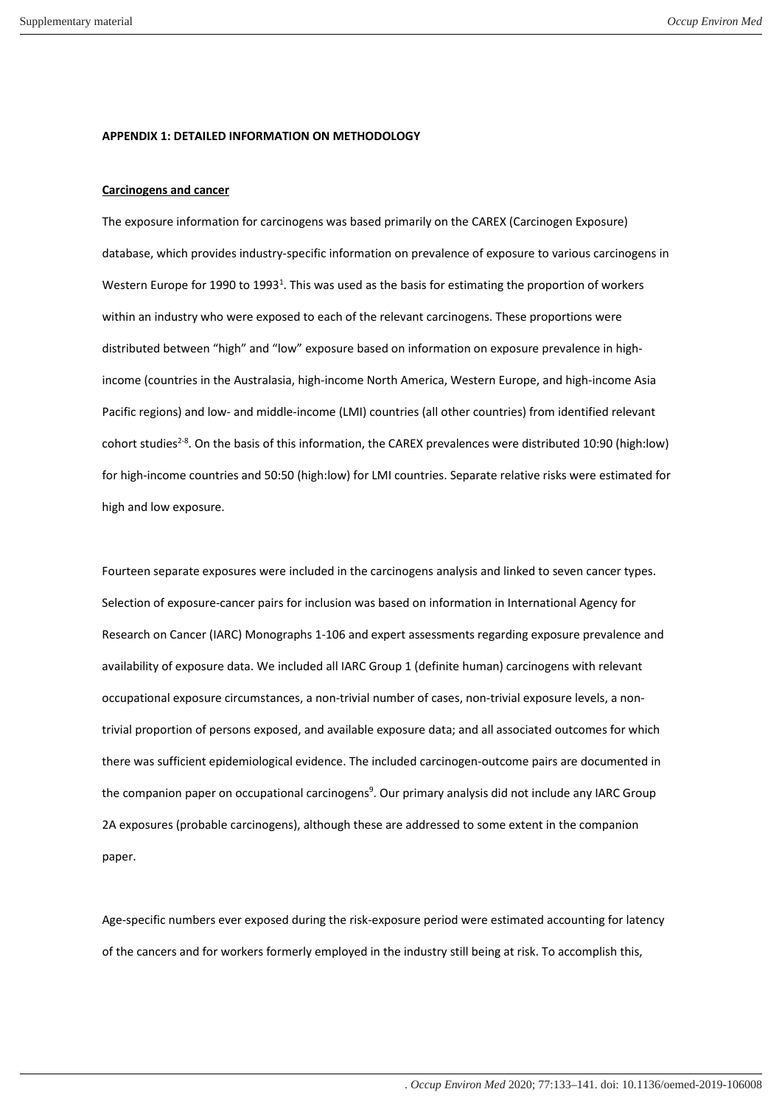#### **APPENDIX 1: DETAILED INFORMATION ON METHODOLOGY**

#### **Carcinogens and cancer**

The exposure information for carcinogens was based primarily on the CAREX (Carcinogen Exposure) database, which provides industry-specific information on prevalence of exposure to various carcinogens in Western Europe for 1990 to 1993<sup>1</sup>[.](#page-10-0) This was used as the basis for estimating the proportion of workers within an industry who were exposed to each of the relevant carcinogens. These proportions were distributed between "high" and "low" exposure based on information on exposure prevalence in highincome (countries in the Australasia, high-income North America, Western Europe, and high-income Asia Pacific regions) and low- and middle-income (LMI) countries (all other countries) from identified relevant cohort studies<sup>[2-8](#page-10-1)</sup>. On the basis of this information, the CAREX prevalences were distributed 10:90 (high:low) for high-income countries and 50:50 (high:low) for LMI countries. Separate relative risks were estimated for high and low exposure.

Fourteen separate exposures were included in the carcinogens analysis and linked to seven cancer types. Selection of exposure-cancer pairs for inclusion was based on information in International Agency for Research on Cancer (IARC) Monographs 1-106 and expert assessments regarding exposure prevalence and availability of exposure data. We included all IARC Group 1 (definite human) carcinogens with relevant occupational exposure circumstances, a non-trivial number of cases, non-trivial exposure levels, a nontrivial proportion of persons exposed, and available exposure data; and all associated outcomes for which there was sufficient epidemiological evidence. The included carcinogen-outcome pairs are documented in the companion paper on occupational carcinogen[s](#page-10-2)<sup>9</sup>. Our primary analysis did not include any IARC Group 2A exposures (probable carcinogens), although these are addressed to some extent in the companion paper.

Age-specific numbers ever exposed during the risk-exposure period were estimated accounting for latency of the cancers and for workers formerly employed in the industry still being at risk. To accomplish this,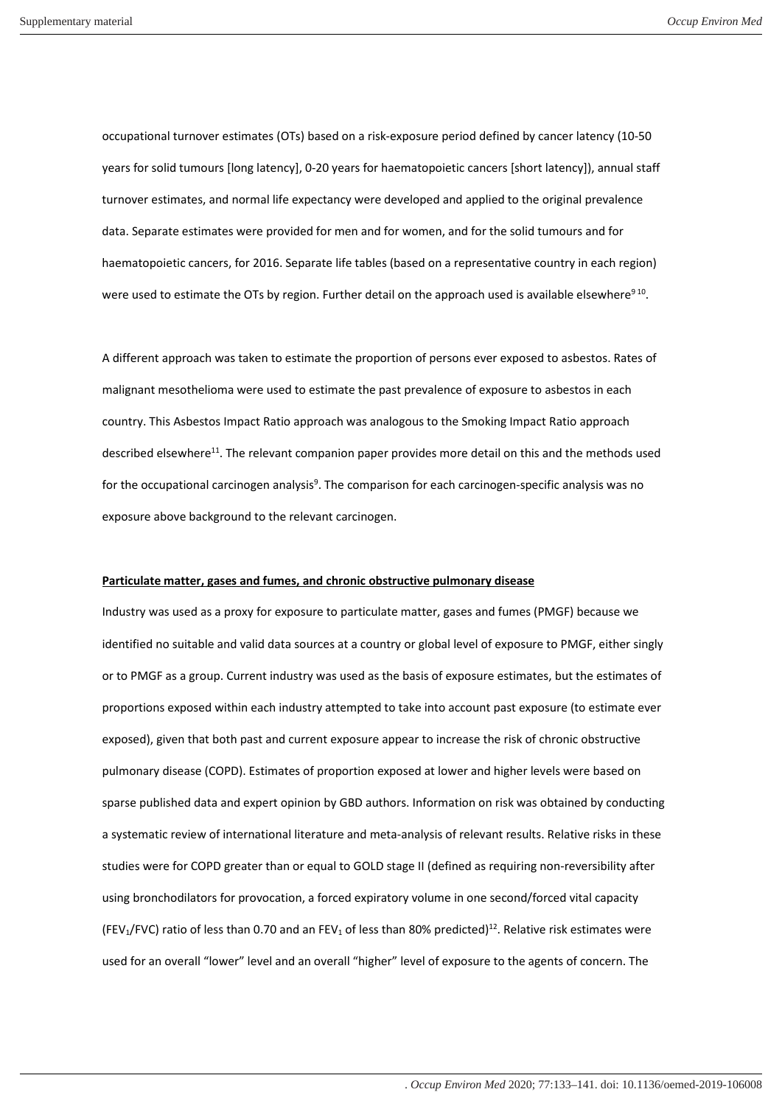occupational turnover estimates (OTs) based on a risk-exposure period defined by cancer latency (10-50 years for solid tumours [long latency], 0-20 years for haematopoietic cancers [short latency]), annual staff turnover estimates, and normal life expectancy were developed and applied to the original prevalence data. Separate estimates were provided for men and for women, and for the solid tumours and for haematopoietic cancers, for 2016. Separate life tables (based on a representative country in each region) were used to estimate the OTs by region. Further detail on the approach used is available elsewhere<sup>9[10](#page-10-3)</sup>.

A different approach was taken to estimate the proportion of persons ever exposed to asbestos. Rates of malignant mesothelioma were used to estimate the past prevalence of exposure to asbestos in each country. This Asbestos Impact Ratio approach was analogous to the Smoking Impact Ratio approach described elsewhere<sup>[11](#page-10-4)</sup>. The relevant companion paper provides more detail on this and the methods used for the occupational carcinogen analy[s](#page-10-2)is<sup>9</sup>. The comparison for each carcinogen-specific analysis was no exposure above background to the relevant carcinogen.

## **Particulate matter, gases and fumes, and chronic obstructive pulmonary disease**

Industry was used as a proxy for exposure to particulate matter, gases and fumes (PMGF) because we identified no suitable and valid data sources at a country or global level of exposure to PMGF, either singly or to PMGF as a group. Current industry was used as the basis of exposure estimates, but the estimates of proportions exposed within each industry attempted to take into account past exposure (to estimate ever exposed), given that both past and current exposure appear to increase the risk of chronic obstructive pulmonary disease (COPD). Estimates of proportion exposed at lower and higher levels were based on sparse published data and expert opinion by GBD authors. Information on risk was obtained by conducting a systematic review of international literature and meta-analysis of relevant results. Relative risks in these studies were for COPD greater than or equal to GOLD stage II (defined as requiring non-reversibility after using bronchodilators for provocation, a forced expiratory volume in one second/forced vital capacity (FEV<sub>1</sub>/FVC) ratio of less than 0.70 and an FEV<sub>1</sub> of less than 80% predicted)<sup>[12](#page-10-5)</sup>. Relative risk estimates were used for an overall "lower" level and an overall "higher" level of exposure to the agents of concern. The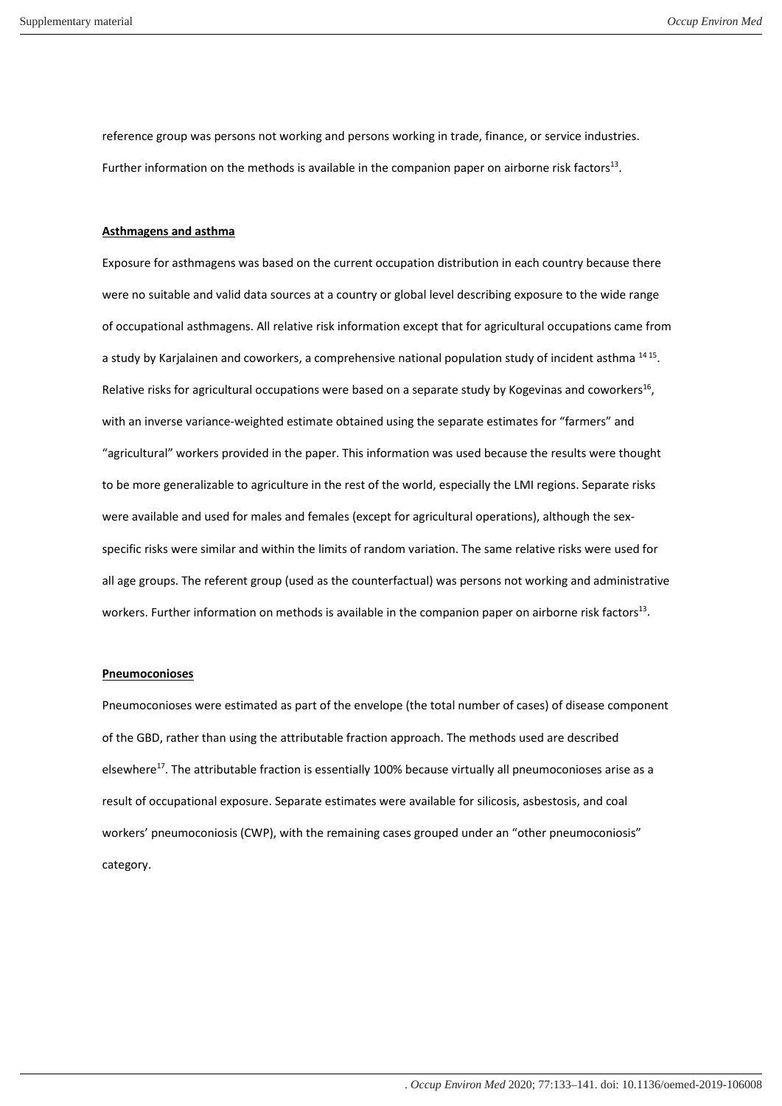reference group was persons not working and persons working in trade, finance, or service industries. Further information on the methods is available in the companion paper on airborne risk factors<sup>[13](#page-10-6)</sup>.

#### **Asthmagens and asthma**

Exposure for asthmagens was based on the current occupation distribution in each country because there were no suitable and valid data sources at a country or global level describing exposure to the wide range of occupational asthmagens. All relative risk information except that for agricultural occupations came from a study by Karjalainen and coworkers, a comprehensive national population study of incident asthma <sup>[14](#page-10-7)[15](#page-11-0)</sup>. Relative risks for agricultural occupations were based on a separate study by Kogevinas and coworkers<sup>[16](#page-11-1)</sup>, with an inverse variance-weighted estimate obtained using the separate estimates for "farmers" and "agricultural" workers provided in the paper. This information was used because the results were thought to be more generalizable to agriculture in the rest of the world, especially the LMI regions. Separate risks were available and used for males and females (except for agricultural operations), although the sexspecific risks were similar and within the limits of random variation. The same relative risks were used for all age groups. The referent group (used as the counterfactual) was persons not working and administrative workers. Further information on methods is available in the companion paper on airborne risk factors<sup>[13](#page-10-6)</sup>.

### **Pneumoconioses**

Pneumoconioses were estimated as part of the envelope (the total number of cases) of disease component of the GBD, rather than using the attributable fraction approach. The methods used are described elsewhere<sup>[17](#page-11-2)</sup>[.](#page-11-2) The attributable fraction is essentially 100% because virtually all pneumoconioses arise as a result of occupational exposure. Separate estimates were available for silicosis, asbestosis, and coal workers' pneumoconiosis (CWP), with the remaining cases grouped under an "other pneumoconiosis" category.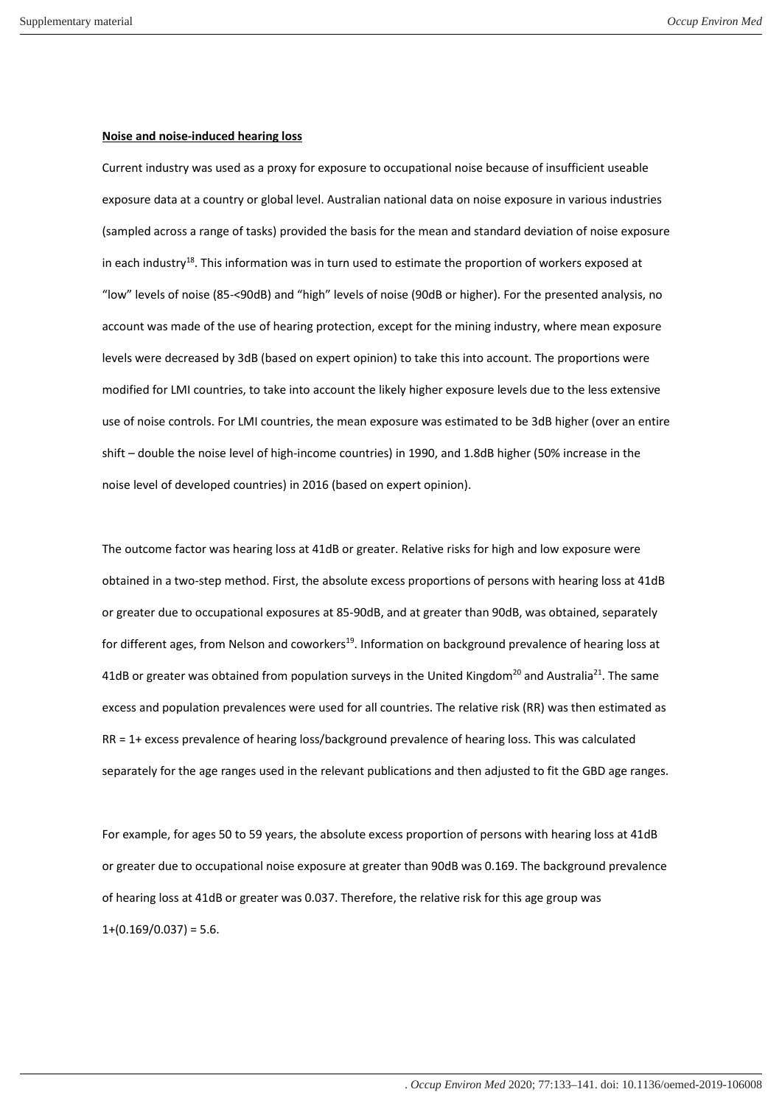## **Noise and noise-induced hearing loss**

Current industry was used as a proxy for exposure to occupational noise because of insufficient useable exposure data at a country or global level. Australian national data on noise exposure in various industries (sampled across a range of tasks) provided the basis for the mean and standard deviation of noise exposure in each industry<sup>[18](#page-11-3)</sup>. This information was in turn used to estimate the proportion of workers exposed at "low" levels of noise (85-<90dB) and "high" levels of noise (90dB or higher). For the presented analysis, no account was made of the use of hearing protection, except for the mining industry, where mean exposure levels were decreased by 3dB (based on expert opinion) to take this into account. The proportions were modified for LMI countries, to take into account the likely higher exposure levels due to the less extensive use of noise controls. For LMI countries, the mean exposure was estimated to be 3dB higher (over an entire shift – double the noise level of high-income countries) in 1990, and 1.8dB higher (50% increase in the noise level of developed countries) in 2016 (based on expert opinion).

The outcome factor was hearing loss at 41dB or greater. Relative risks for high and low exposure were obtained in a two-step method. First, the absolute excess proportions of persons with hearing loss at 41dB or greater due to occupational exposures at 85-90dB, and at greater than 90dB, was obtained, separately for different ages, from Nelson and coworkers<sup>[19](#page-11-4)</sup>. Information on background prevalence of hearing loss at 41dB or greater was obtained from population surveys in the United Kingdom<sup>[20](#page-11-5)</sup> and Australia<sup>[21](#page-11-6)</sup>. The same excess and population prevalences were used for all countries. The relative risk (RR) was then estimated as RR = 1+ excess prevalence of hearing loss/background prevalence of hearing loss. This was calculated separately for the age ranges used in the relevant publications and then adjusted to fit the GBD age ranges.

For example, for ages 50 to 59 years, the absolute excess proportion of persons with hearing loss at 41dB or greater due to occupational noise exposure at greater than 90dB was 0.169. The background prevalence of hearing loss at 41dB or greater was 0.037. Therefore, the relative risk for this age group was  $1+(0.169/0.037) = 5.6$ .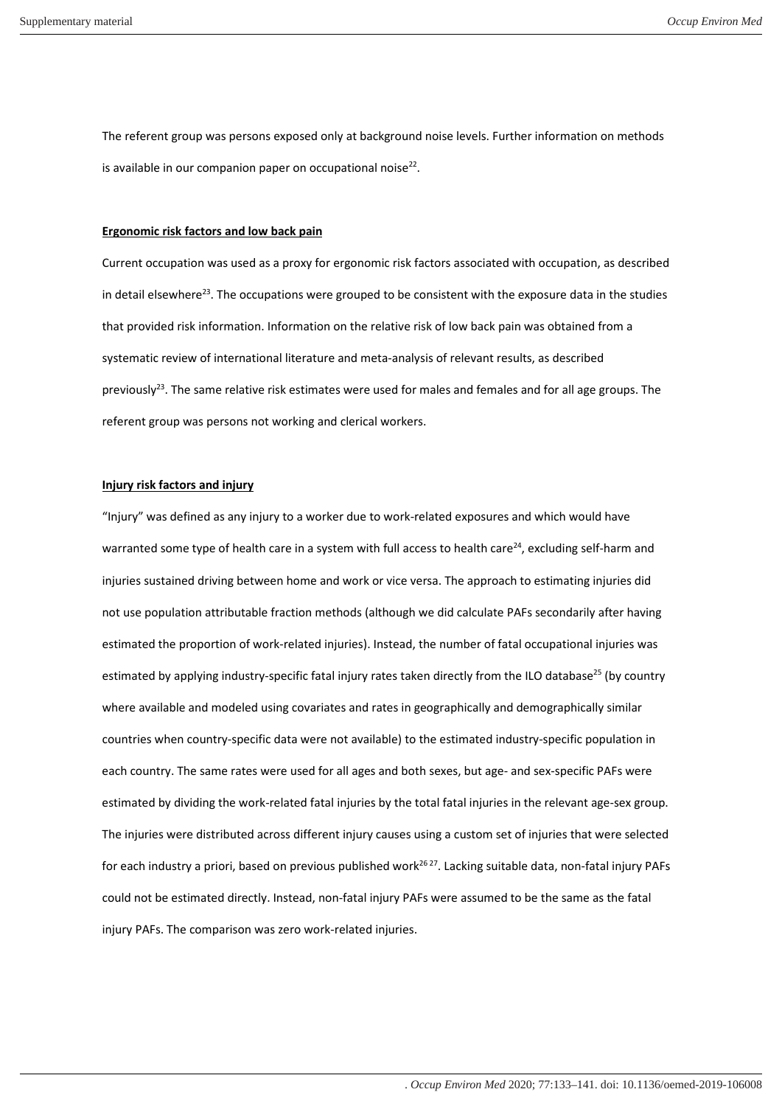The referent group was persons exposed only at background noise levels. Further information on methods is available in our companion paper on occupational noise $^{22}$  $^{22}$  $^{22}$ .

#### **Ergonomic risk factors and low back pain**

Current occupation was used as a proxy for ergonomic risk factors associated with occupation, as described in detail elsewhere<sup>[23](#page-11-8)</sup>. The occupations were grouped to be consistent with the exposure data in the studies that provided risk information. Information on the relative risk of low back pain was obtained from a systematic review of international literature and meta-analysis of relevant results, as described previously<sup>[23](#page-11-8)</sup>. The same relative risk estimates were used for males and females and for all age groups. The referent group was persons not working and clerical workers.

# **Injury risk factors and injury**

"Injury" was defined as any injury to a worker due to work-related exposures and which would have warranted some type of health care in a system with full access to health care<sup>[24](#page-11-9)</sup>, excluding self-harm and injuries sustained driving between home and work or vice versa. The approach to estimating injuries did not use population attributable fraction methods (although we did calculate PAFs secondarily after having estimated the proportion of work-related injuries). Instead, the number of fatal occupational injuries was estimated by applying industry-specific fatal injury rates taken directly from the ILO database<sup>[25](#page-11-10)</sup> (by country where available and modeled using covariates and rates in geographically and demographically similar countries when country-specific data were not available) to the estimated industry-specific population in each country. The same rates were used for all ages and both sexes, but age- and sex-specific PAFs were estimated by dividing the work-related fatal injuries by the total fatal injuries in the relevant age-sex group. The injuries were distributed across different injury causes using a custom set of injuries that were selected for each industry a priori, based on previous published work<sup>[26](#page-11-11) [27](#page-11-12)</sup>. Lacking suitable data, non-fatal injury PAFs could not be estimated directly. Instead, non-fatal injury PAFs were assumed to be the same as the fatal injury PAFs. The comparison was zero work-related injuries.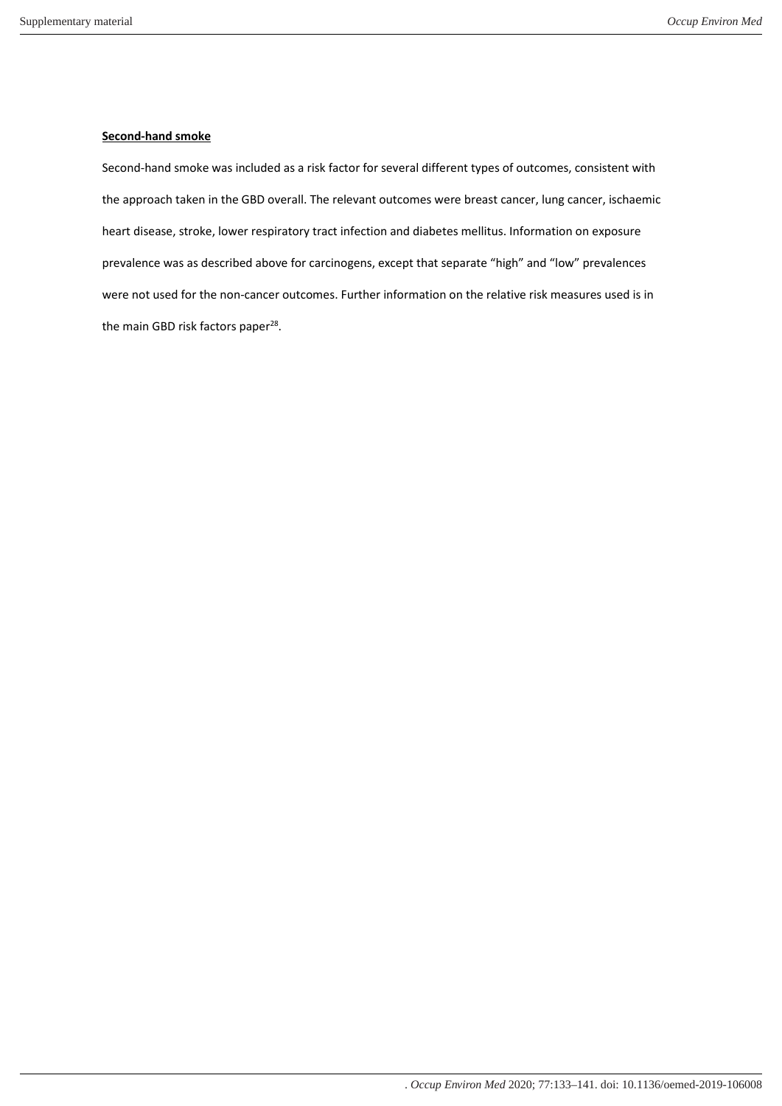# **Second-hand smoke**

Second-hand smoke was included as a risk factor for several different types of outcomes, consistent with the approach taken in the GBD overall. The relevant outcomes were breast cancer, lung cancer, ischaemic heart disease, stroke, lower respiratory tract infection and diabetes mellitus. Information on exposure prevalence was as described above for carcinogens, except that separate "high" and "low" prevalences were not used for the non-cancer outcomes. Further information on the relative risk measures used is in the main GBD risk factors paper<sup>[28](#page-11-13)</sup>.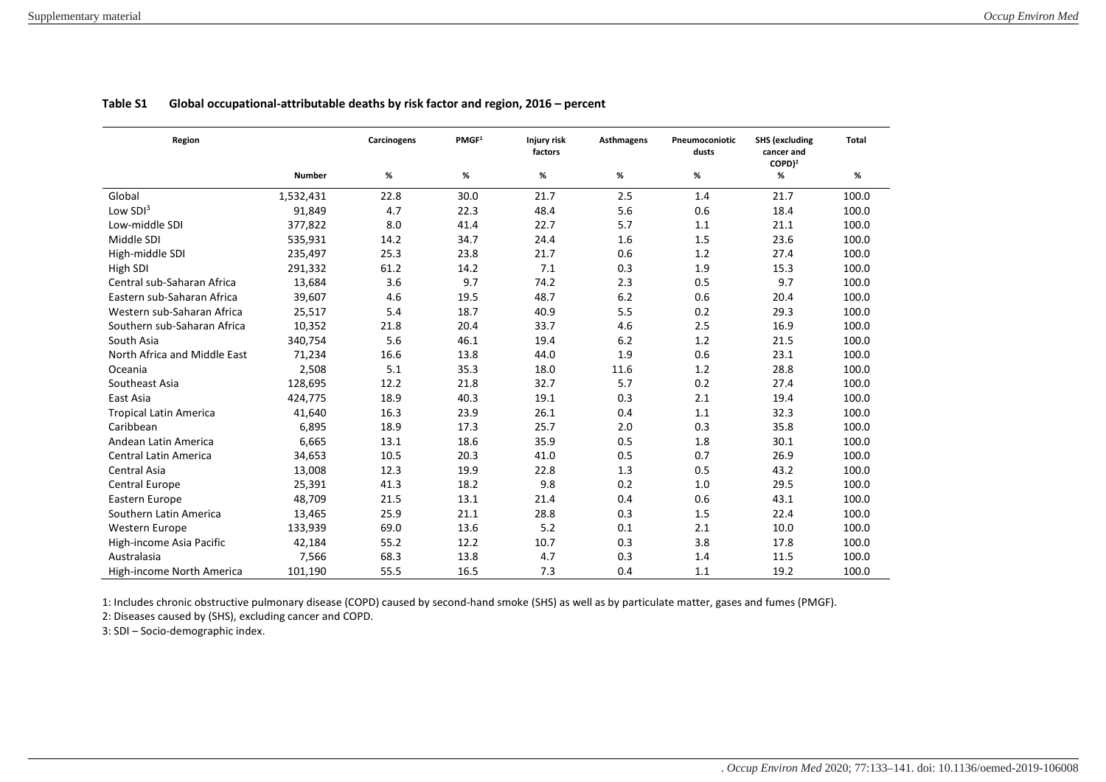| Region                        |               | Carcinogens | PMGF <sup>1</sup> | Injury risk<br>factors | <b>Asthmagens</b> | Pneumoconiotic<br>dusts | <b>SHS (excluding</b><br>cancer and<br>$COPD$ <sup>2</sup> | <b>Total</b> |
|-------------------------------|---------------|-------------|-------------------|------------------------|-------------------|-------------------------|------------------------------------------------------------|--------------|
|                               | <b>Number</b> | %           | %                 | %                      | %                 | %                       | %                                                          | $\%$         |
| Global                        | 1,532,431     | 22.8        | 30.0              | 21.7                   | 2.5               | 1.4                     | 21.7                                                       | 100.0        |
| Low $SDI3$                    | 91,849        | 4.7         | 22.3              | 48.4                   | 5.6               | 0.6                     | 18.4                                                       | 100.0        |
| Low-middle SDI                | 377,822       | 8.0         | 41.4              | 22.7                   | 5.7               | 1.1                     | 21.1                                                       | 100.0        |
| Middle SDI                    | 535,931       | 14.2        | 34.7              | 24.4                   | 1.6               | 1.5                     | 23.6                                                       | 100.0        |
| High-middle SDI               | 235,497       | 25.3        | 23.8              | 21.7                   | 0.6               | 1.2                     | 27.4                                                       | 100.0        |
| High SDI                      | 291,332       | 61.2        | 14.2              | 7.1                    | 0.3               | 1.9                     | 15.3                                                       | 100.0        |
| Central sub-Saharan Africa    | 13,684        | 3.6         | 9.7               | 74.2                   | 2.3               | 0.5                     | 9.7                                                        | 100.0        |
| Eastern sub-Saharan Africa    | 39,607        | 4.6         | 19.5              | 48.7                   | 6.2               | 0.6                     | 20.4                                                       | 100.0        |
| Western sub-Saharan Africa    | 25,517        | 5.4         | 18.7              | 40.9                   | 5.5               | 0.2                     | 29.3                                                       | 100.0        |
| Southern sub-Saharan Africa   | 10,352        | 21.8        | 20.4              | 33.7                   | 4.6               | 2.5                     | 16.9                                                       | 100.0        |
| South Asia                    | 340,754       | 5.6         | 46.1              | 19.4                   | 6.2               | 1.2                     | 21.5                                                       | 100.0        |
| North Africa and Middle East  | 71,234        | 16.6        | 13.8              | 44.0                   | 1.9               | 0.6                     | 23.1                                                       | 100.0        |
| Oceania                       | 2,508         | 5.1         | 35.3              | 18.0                   | 11.6              | 1.2                     | 28.8                                                       | 100.0        |
| Southeast Asia                | 128,695       | 12.2        | 21.8              | 32.7                   | 5.7               | 0.2                     | 27.4                                                       | 100.0        |
| East Asia                     | 424,775       | 18.9        | 40.3              | 19.1                   | 0.3               | 2.1                     | 19.4                                                       | 100.0        |
| <b>Tropical Latin America</b> | 41,640        | 16.3        | 23.9              | 26.1                   | 0.4               | 1.1                     | 32.3                                                       | 100.0        |
| Caribbean                     | 6.895         | 18.9        | 17.3              | 25.7                   | 2.0               | 0.3                     | 35.8                                                       | 100.0        |
| Andean Latin America          | 6,665         | 13.1        | 18.6              | 35.9                   | 0.5               | 1.8                     | 30.1                                                       | 100.0        |
| <b>Central Latin America</b>  | 34,653        | 10.5        | 20.3              | 41.0                   | 0.5               | 0.7                     | 26.9                                                       | 100.0        |
| Central Asia                  | 13,008        | 12.3        | 19.9              | 22.8                   | 1.3               | 0.5                     | 43.2                                                       | 100.0        |
| Central Europe                | 25,391        | 41.3        | 18.2              | 9.8                    | 0.2               | 1.0                     | 29.5                                                       | 100.0        |
| Eastern Europe                | 48,709        | 21.5        | 13.1              | 21.4                   | 0.4               | 0.6                     | 43.1                                                       | 100.0        |
| Southern Latin America        | 13,465        | 25.9        | 21.1              | 28.8                   | 0.3               | 1.5                     | 22.4                                                       | 100.0        |
| Western Europe                | 133,939       | 69.0        | 13.6              | 5.2                    | 0.1               | 2.1                     | 10.0                                                       | 100.0        |
| High-income Asia Pacific      | 42,184        | 55.2        | 12.2              | 10.7                   | 0.3               | 3.8                     | 17.8                                                       | 100.0        |
| Australasia                   | 7,566         | 68.3        | 13.8              | 4.7                    | 0.3               | 1.4                     | 11.5                                                       | 100.0        |
| High-income North America     | 101,190       | 55.5        | 16.5              | 7.3                    | 0.4               | 1.1                     | 19.2                                                       | 100.0        |

# **Table S1 Global occupational-attributable deaths by risk factor and region, 2016 – percent**

1: Includes chronic obstructive pulmonary disease (COPD) caused by second-hand smoke (SHS) as well as by particulate matter, gases and fumes (PMGF).

2: Diseases caused by (SHS), excluding cancer and COPD.

3: SDI – Socio-demographic index.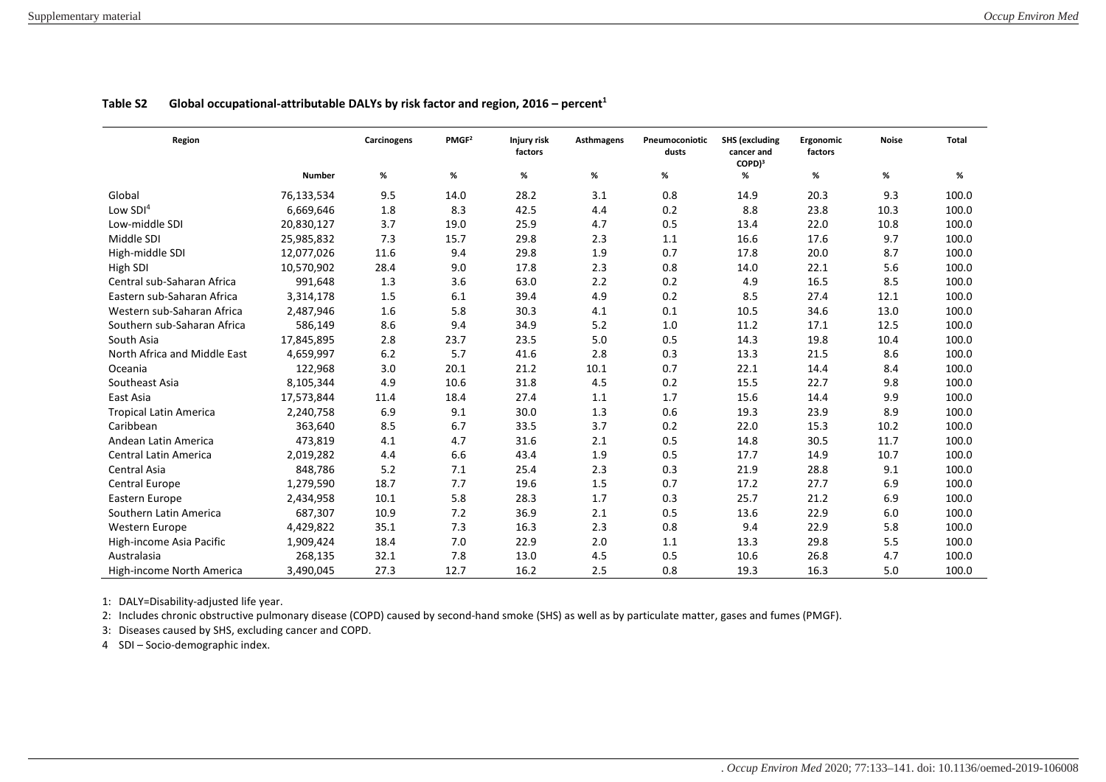| Region                        |               | Carcinogens | PMGF <sup>2</sup> | Injury risk<br>factors | Asthmagens | Pneumoconiotic<br>dusts | <b>SHS</b> (excluding<br>cancer and<br>$COPD$ <sup>3</sup> | Ergonomic<br>factors | <b>Noise</b> | <b>Total</b> |
|-------------------------------|---------------|-------------|-------------------|------------------------|------------|-------------------------|------------------------------------------------------------|----------------------|--------------|--------------|
|                               | <b>Number</b> | %           | $\%$              | %                      | %          | %                       | %                                                          | %                    | %            | $\%$         |
| Global                        | 76,133,534    | 9.5         | 14.0              | 28.2                   | 3.1        | 0.8                     | 14.9                                                       | 20.3                 | 9.3          | 100.0        |
| Low SDI <sup>4</sup>          | 6,669,646     | 1.8         | 8.3               | 42.5                   | 4.4        | 0.2                     | 8.8                                                        | 23.8                 | 10.3         | 100.0        |
| Low-middle SDI                | 20,830,127    | 3.7         | 19.0              | 25.9                   | 4.7        | 0.5                     | 13.4                                                       | 22.0                 | 10.8         | 100.0        |
| Middle SDI                    | 25,985,832    | 7.3         | 15.7              | 29.8                   | 2.3        | 1.1                     | 16.6                                                       | 17.6                 | 9.7          | 100.0        |
| High-middle SDI               | 12,077,026    | 11.6        | 9.4               | 29.8                   | 1.9        | 0.7                     | 17.8                                                       | 20.0                 | 8.7          | 100.0        |
| High SDI                      | 10,570,902    | 28.4        | 9.0               | 17.8                   | 2.3        | 0.8                     | 14.0                                                       | 22.1                 | 5.6          | 100.0        |
| Central sub-Saharan Africa    | 991,648       | 1.3         | 3.6               | 63.0                   | 2.2        | 0.2                     | 4.9                                                        | 16.5                 | 8.5          | 100.0        |
| Eastern sub-Saharan Africa    | 3,314,178     | 1.5         | 6.1               | 39.4                   | 4.9        | 0.2                     | 8.5                                                        | 27.4                 | 12.1         | 100.0        |
| Western sub-Saharan Africa    | 2,487,946     | 1.6         | 5.8               | 30.3                   | 4.1        | 0.1                     | 10.5                                                       | 34.6                 | 13.0         | 100.0        |
| Southern sub-Saharan Africa   | 586,149       | 8.6         | 9.4               | 34.9                   | $5.2$      | 1.0                     | 11.2                                                       | 17.1                 | 12.5         | 100.0        |
| South Asia                    | 17,845,895    | 2.8         | 23.7              | 23.5                   | 5.0        | 0.5                     | 14.3                                                       | 19.8                 | 10.4         | 100.0        |
| North Africa and Middle East  | 4,659,997     | 6.2         | 5.7               | 41.6                   | 2.8        | 0.3                     | 13.3                                                       | 21.5                 | 8.6          | 100.0        |
| Oceania                       | 122,968       | 3.0         | 20.1              | 21.2                   | 10.1       | 0.7                     | 22.1                                                       | 14.4                 | 8.4          | 100.0        |
| Southeast Asia                | 8,105,344     | 4.9         | 10.6              | 31.8                   | 4.5        | 0.2                     | 15.5                                                       | 22.7                 | 9.8          | 100.0        |
| East Asia                     | 17,573,844    | 11.4        | 18.4              | 27.4                   | $1.1\,$    | 1.7                     | 15.6                                                       | 14.4                 | 9.9          | 100.0        |
| <b>Tropical Latin America</b> | 2,240,758     | 6.9         | 9.1               | 30.0                   | 1.3        | 0.6                     | 19.3                                                       | 23.9                 | 8.9          | 100.0        |
| Caribbean                     | 363,640       | 8.5         | 6.7               | 33.5                   | 3.7        | 0.2                     | 22.0                                                       | 15.3                 | 10.2         | 100.0        |
| Andean Latin America          | 473,819       | 4.1         | 4.7               | 31.6                   | 2.1        | 0.5                     | 14.8                                                       | 30.5                 | 11.7         | 100.0        |
| Central Latin America         | 2,019,282     | 4.4         | 6.6               | 43.4                   | 1.9        | 0.5                     | 17.7                                                       | 14.9                 | 10.7         | 100.0        |
| Central Asia                  | 848,786       | 5.2         | 7.1               | 25.4                   | 2.3        | 0.3                     | 21.9                                                       | 28.8                 | 9.1          | 100.0        |
| Central Europe                | 1,279,590     | 18.7        | 7.7               | 19.6                   | 1.5        | 0.7                     | 17.2                                                       | 27.7                 | 6.9          | 100.0        |
| Eastern Europe                | 2,434,958     | 10.1        | 5.8               | 28.3                   | 1.7        | 0.3                     | 25.7                                                       | 21.2                 | 6.9          | 100.0        |
| Southern Latin America        | 687,307       | 10.9        | 7.2               | 36.9                   | 2.1        | 0.5                     | 13.6                                                       | 22.9                 | 6.0          | 100.0        |
| Western Europe                | 4,429,822     | 35.1        | 7.3               | 16.3                   | 2.3        | 0.8                     | 9.4                                                        | 22.9                 | 5.8          | 100.0        |
| High-income Asia Pacific      | 1,909,424     | 18.4        | 7.0               | 22.9                   | 2.0        | 1.1                     | 13.3                                                       | 29.8                 | 5.5          | 100.0        |
| Australasia                   | 268,135       | 32.1        | 7.8               | 13.0                   | 4.5        | 0.5                     | 10.6                                                       | 26.8                 | 4.7          | 100.0        |
| High-income North America     | 3,490,045     | 27.3        | 12.7              | 16.2                   | 2.5        | 0.8                     | 19.3                                                       | 16.3                 | 5.0          | 100.0        |

# **Table S2 Global occupational-attributable DALYs by risk factor and region, 2016 – percent<sup>1</sup>**

1: DALY=Disability-adjusted life year.

2: Includes chronic obstructive pulmonary disease (COPD) caused by second-hand smoke (SHS) as well as by particulate matter, gases and fumes (PMGF).

3: Diseases caused by SHS, excluding cancer and COPD.

4 SDI – Socio-demographic index.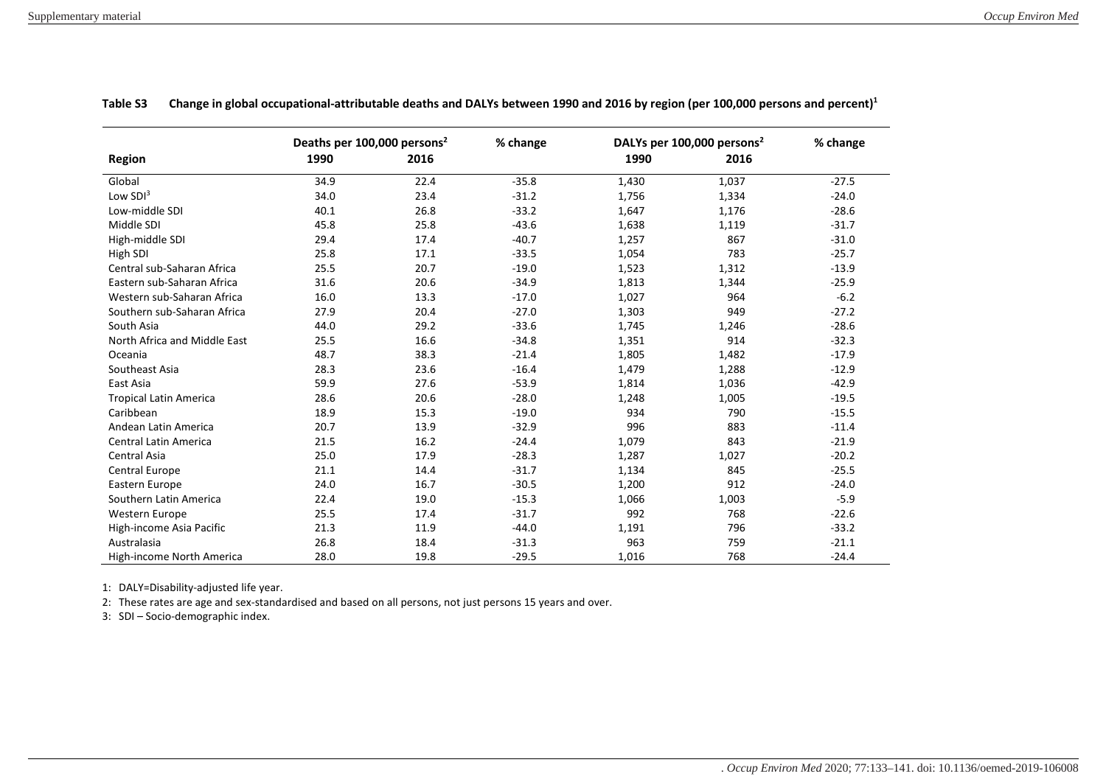|                               | Deaths per 100,000 persons <sup>2</sup> |      | % change | DALYs per 100,000 persons <sup>2</sup> | % change |         |
|-------------------------------|-----------------------------------------|------|----------|----------------------------------------|----------|---------|
| <b>Region</b>                 | 1990                                    | 2016 |          | 1990                                   | 2016     |         |
| Global                        | 34.9                                    | 22.4 | $-35.8$  | 1,430                                  | 1,037    | $-27.5$ |
| Low $SDI3$                    | 34.0                                    | 23.4 | $-31.2$  | 1,756                                  | 1,334    | $-24.0$ |
| Low-middle SDI                | 40.1                                    | 26.8 | $-33.2$  | 1,647                                  | 1,176    | $-28.6$ |
| Middle SDI                    | 45.8                                    | 25.8 | $-43.6$  | 1,638                                  | 1,119    | $-31.7$ |
| High-middle SDI               | 29.4                                    | 17.4 | $-40.7$  | 1,257                                  | 867      | $-31.0$ |
| High SDI                      | 25.8                                    | 17.1 | $-33.5$  | 1,054                                  | 783      | $-25.7$ |
| Central sub-Saharan Africa    | 25.5                                    | 20.7 | $-19.0$  | 1,523                                  | 1,312    | $-13.9$ |
| Eastern sub-Saharan Africa    | 31.6                                    | 20.6 | $-34.9$  | 1,813                                  | 1,344    | $-25.9$ |
| Western sub-Saharan Africa    | 16.0                                    | 13.3 | $-17.0$  | 1,027                                  | 964      | $-6.2$  |
| Southern sub-Saharan Africa   | 27.9                                    | 20.4 | $-27.0$  | 1,303                                  | 949      | $-27.2$ |
| South Asia                    | 44.0                                    | 29.2 | $-33.6$  | 1,745                                  | 1,246    | $-28.6$ |
| North Africa and Middle East  | 25.5                                    | 16.6 | $-34.8$  | 1,351                                  | 914      | $-32.3$ |
| Oceania                       | 48.7                                    | 38.3 | $-21.4$  | 1,805                                  | 1,482    | $-17.9$ |
| Southeast Asia                | 28.3                                    | 23.6 | $-16.4$  | 1,479                                  | 1,288    | $-12.9$ |
| East Asia                     | 59.9                                    | 27.6 | $-53.9$  | 1,814                                  | 1,036    | $-42.9$ |
| <b>Tropical Latin America</b> | 28.6                                    | 20.6 | $-28.0$  | 1,248                                  | 1,005    | $-19.5$ |
| Caribbean                     | 18.9                                    | 15.3 | $-19.0$  | 934                                    | 790      | $-15.5$ |
| Andean Latin America          | 20.7                                    | 13.9 | $-32.9$  | 996                                    | 883      | $-11.4$ |
| Central Latin America         | 21.5                                    | 16.2 | $-24.4$  | 1,079                                  | 843      | $-21.9$ |
| Central Asia                  | 25.0                                    | 17.9 | $-28.3$  | 1,287                                  | 1,027    | $-20.2$ |
| Central Europe                | 21.1                                    | 14.4 | $-31.7$  | 1,134                                  | 845      | $-25.5$ |
| Eastern Europe                | 24.0                                    | 16.7 | $-30.5$  | 1,200                                  | 912      | $-24.0$ |
| Southern Latin America        | 22.4                                    | 19.0 | $-15.3$  | 1,066                                  | 1,003    | $-5.9$  |
| Western Europe                | 25.5                                    | 17.4 | $-31.7$  | 992                                    | 768      | $-22.6$ |
| High-income Asia Pacific      | 21.3                                    | 11.9 | $-44.0$  | 1,191                                  | 796      | $-33.2$ |
| Australasia                   | 26.8                                    | 18.4 | $-31.3$  | 963                                    | 759      | $-21.1$ |
| High-income North America     | 28.0                                    | 19.8 | $-29.5$  | 1,016                                  | 768      | $-24.4$ |

**Table S3 Change in global occupational-attributable deaths and DALYs between 1990 and 2016 by region (per 100,000 persons and percent)<sup>1</sup>**

1: DALY=Disability-adjusted life year.

2: These rates are age and sex-standardised and based on all persons, not just persons 15 years and over.

3: SDI – Socio-demographic index.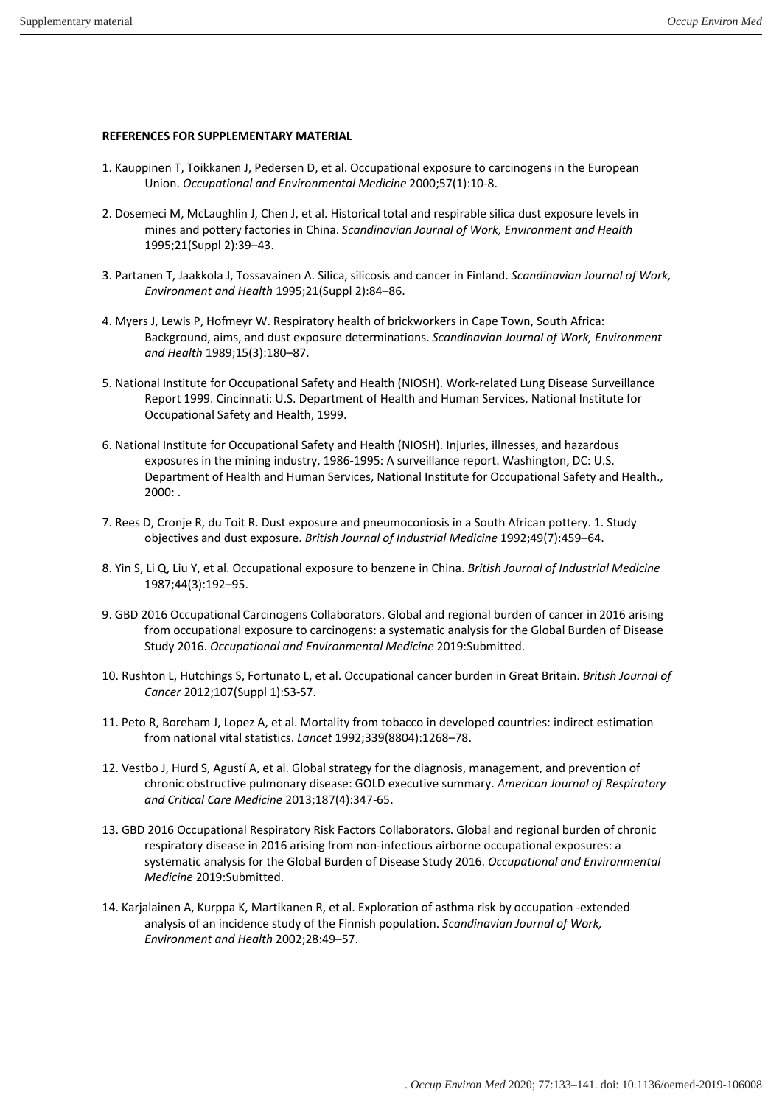## <span id="page-10-0"></span>**REFERENCES FOR SUPPLEMENTARY MATERIAL**

- <span id="page-10-1"></span>1. Kauppinen T, Toikkanen J, Pedersen D, et al. Occupational exposure to carcinogens in the European Union. *Occupational and Environmental Medicine* 2000;57(1):10-8.
- 2. Dosemeci M, McLaughlin J, Chen J, et al. Historical total and respirable silica dust exposure levels in mines and pottery factories in China. *Scandinavian Journal of Work, Environment and Health* 1995;21(Suppl 2):39–43.
- 3. Partanen T, Jaakkola J, Tossavainen A. Silica, silicosis and cancer in Finland. *Scandinavian Journal of Work, Environment and Health* 1995;21(Suppl 2):84–86.
- 4. Myers J, Lewis P, Hofmeyr W. Respiratory health of brickworkers in Cape Town, South Africa: Background, aims, and dust exposure determinations. *Scandinavian Journal of Work, Environment and Health* 1989;15(3):180–87.
- 5. National Institute for Occupational Safety and Health (NIOSH). Work-related Lung Disease Surveillance Report 1999. Cincinnati: U.S. Department of Health and Human Services, National Institute for Occupational Safety and Health, 1999.
- 6. National Institute for Occupational Safety and Health (NIOSH). Injuries, illnesses, and hazardous exposures in the mining industry, 1986-1995: A surveillance report. Washington, DC: U.S. Department of Health and Human Services, National Institute for Occupational Safety and Health., 2000: .
- 7. Rees D, Cronje R, du Toit R. Dust exposure and pneumoconiosis in a South African pottery. 1. Study objectives and dust exposure. *British Journal of Industrial Medicine* 1992;49(7):459–64.
- 8. Yin S, Li Q, Liu Y, et al. Occupational exposure to benzene in China. *British Journal of Industrial Medicine* 1987;44(3):192–95.
- <span id="page-10-2"></span>9. GBD 2016 Occupational Carcinogens Collaborators. Global and regional burden of cancer in 2016 arising from occupational exposure to carcinogens: a systematic analysis for the Global Burden of Disease Study 2016. *Occupational and Environmental Medicine* 2019:Submitted.
- <span id="page-10-3"></span>10. Rushton L, Hutchings S, Fortunato L, et al. Occupational cancer burden in Great Britain. *British Journal of Cancer* 2012;107(Suppl 1):S3-S7.
- <span id="page-10-4"></span>11. Peto R, Boreham J, Lopez A, et al. Mortality from tobacco in developed countries: indirect estimation from national vital statistics. *Lancet* 1992;339(8804):1268–78.
- <span id="page-10-5"></span>12. Vestbo J, Hurd S, Agustí A, et al. Global strategy for the diagnosis, management, and prevention of chronic obstructive pulmonary disease: GOLD executive summary. *American Journal of Respiratory and Critical Care Medicine* 2013;187(4):347-65.
- <span id="page-10-6"></span>13. GBD 2016 Occupational Respiratory Risk Factors Collaborators. Global and regional burden of chronic respiratory disease in 2016 arising from non-infectious airborne occupational exposures: a systematic analysis for the Global Burden of Disease Study 2016. *Occupational and Environmental Medicine* 2019:Submitted.
- <span id="page-10-7"></span>14. Karjalainen A, Kurppa K, Martikanen R, et al. Exploration of asthma risk by occupation -extended analysis of an incidence study of the Finnish population. *Scandinavian Journal of Work, Environment and Health* 2002;28:49–57.